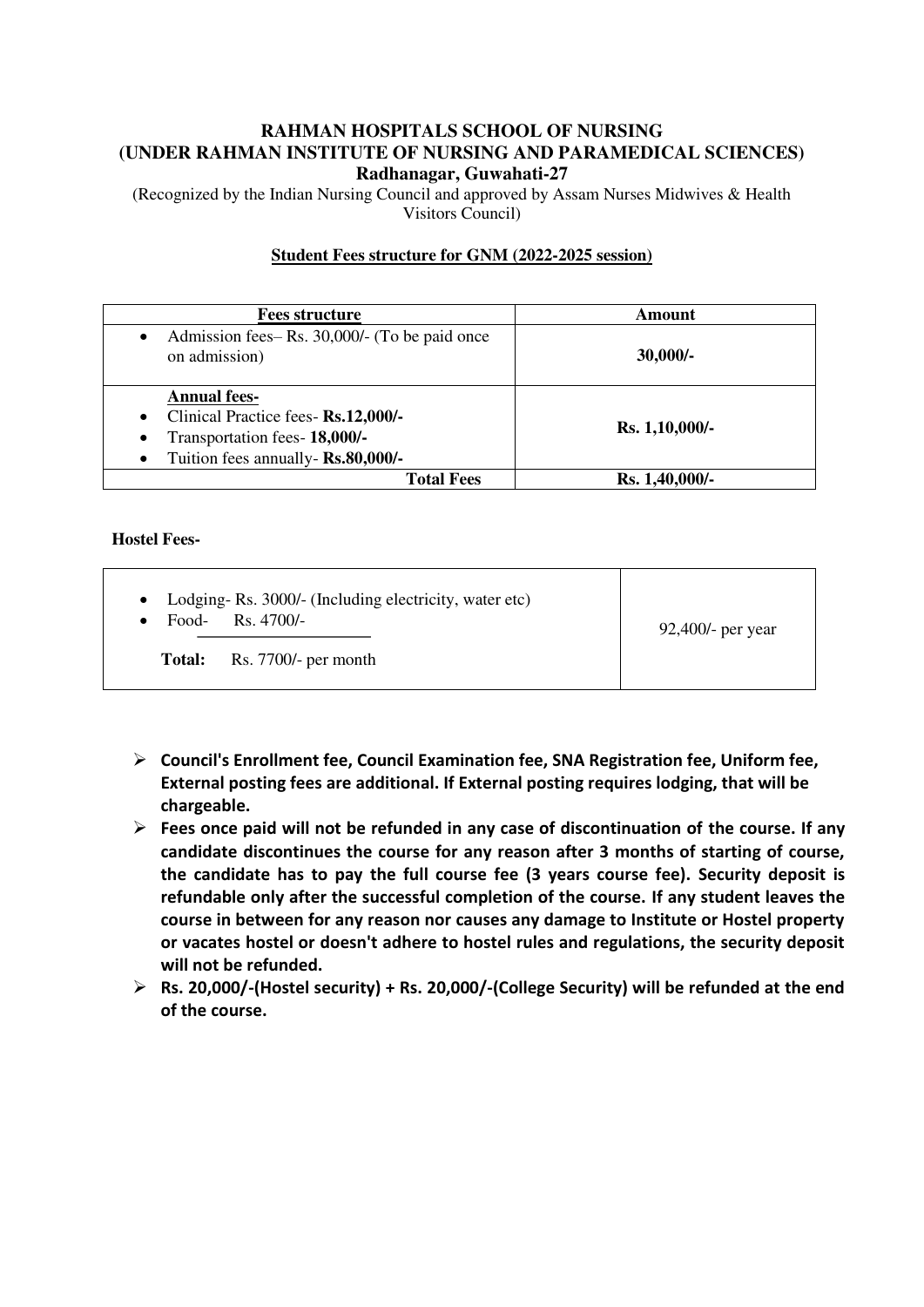# **RAHMAN HOSPITALS SCHOOL OF NURSING (UNDER RAHMAN INSTITUTE OF NURSING AND PARAMEDICAL SCIENCES) Radhanagar, Guwahati-27**

(Recognized by the Indian Nursing Council and approved by Assam Nurses Midwives & Health Visitors Council)

## **Student Fees structure for GNM (2022-2025 session)**

| <b>Fees structure</b>                                                                                                                                                    | Amount         |
|--------------------------------------------------------------------------------------------------------------------------------------------------------------------------|----------------|
| Admission fees–Rs. 30,000/- (To be paid once<br>$\bullet$<br>on admission)                                                                                               | $30,000/-$     |
| <b>Annual fees-</b><br>Clinical Practice fees- Rs.12,000/-<br>$\bullet$<br>Transportation fees- 18,000/-<br>$\bullet$<br>Tuition fees annually- Rs.80,000/-<br>$\bullet$ | Rs. 1,10,000/- |
| <b>Total Fees</b>                                                                                                                                                        | Rs. 1,40,000/- |

# **Hostel Fees-**

| • Lodging-Rs. 3000/- (Including electricity, water etc)<br>Food-Rs. $4700/-$ | $92,400$ /- per year |
|------------------------------------------------------------------------------|----------------------|
| <b>Total:</b> Rs. 7700/- per month                                           |                      |

- **Council's Enrollment fee, Council Examination fee, SNA Registration fee, Uniform fee, External posting fees are additional. If External posting requires lodging, that will be chargeable.**
- **Fees once paid will not be refunded in any case of discontinuation of the course. If any candidate discontinues the course for any reason after 3 months of starting of course, the candidate has to pay the full course fee (3 years course fee). Security deposit is refundable only after the successful completion of the course. If any student leaves the course in between for any reason nor causes any damage to Institute or Hostel property or vacates hostel or doesn't adhere to hostel rules and regulations, the security deposit will not be refunded.**
- **Rs. 20,000/-(Hostel security) + Rs. 20,000/-(College Security) will be refunded at the end of the course.**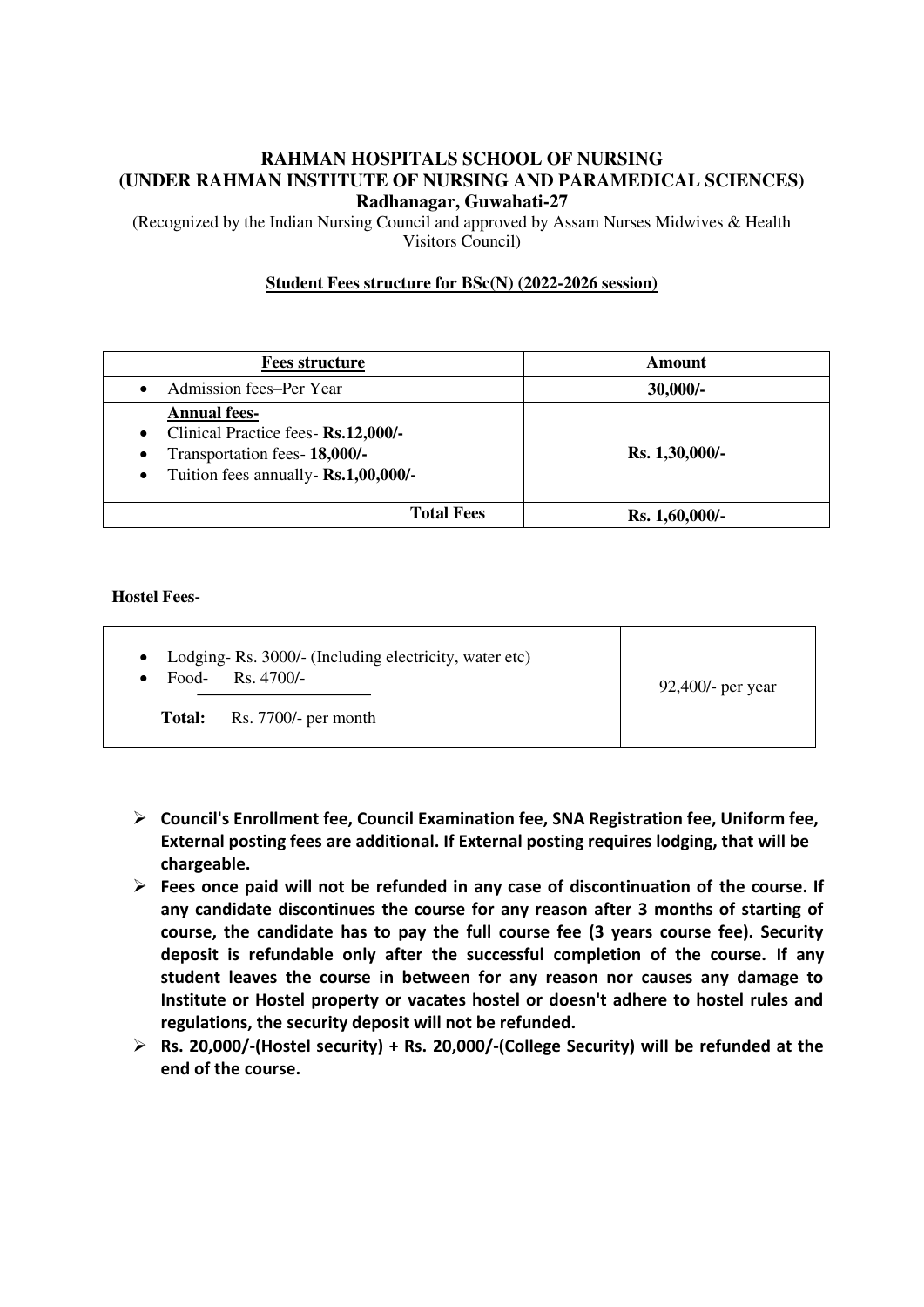# **RAHMAN HOSPITALS SCHOOL OF NURSING (UNDER RAHMAN INSTITUTE OF NURSING AND PARAMEDICAL SCIENCES) Radhanagar, Guwahati-27**

(Recognized by the Indian Nursing Council and approved by Assam Nurses Midwives & Health Visitors Council)

## **Student Fees structure for BSc(N) (2022-2026 session)**

| <b>Fees structure</b>                                                                                                                                                      | Amount         |
|----------------------------------------------------------------------------------------------------------------------------------------------------------------------------|----------------|
| Admission fees-Per Year                                                                                                                                                    | $30,000/$ -    |
| <b>Annual fees-</b><br>Clinical Practice fees- Rs.12,000/-<br>$\bullet$<br>Transportation fees- 18,000/-<br>$\bullet$<br>Tuition fees annually- Rs.1,00,000/-<br>$\bullet$ | Rs. 1,30,000/- |
| <b>Total Fees</b>                                                                                                                                                          | Rs. 1,60,000/- |

#### **Hostel Fees-**

|        | • Lodging-Rs. 3000/- (Including electricity, water etc)<br>Food-Rs. $4700/-$ | $92,400$ /- per year |
|--------|------------------------------------------------------------------------------|----------------------|
| Total: | Rs. $7700/-$ per month                                                       |                      |

- **Council's Enrollment fee, Council Examination fee, SNA Registration fee, Uniform fee, External posting fees are additional. If External posting requires lodging, that will be chargeable.**
- **Fees once paid will not be refunded in any case of discontinuation of the course. If any candidate discontinues the course for any reason after 3 months of starting of course, the candidate has to pay the full course fee (3 years course fee). Security deposit is refundable only after the successful completion of the course. If any student leaves the course in between for any reason nor causes any damage to Institute or Hostel property or vacates hostel or doesn't adhere to hostel rules and regulations, the security deposit will not be refunded.**
- **Rs. 20,000/-(Hostel security) + Rs. 20,000/-(College Security) will be refunded at the end of the course.**